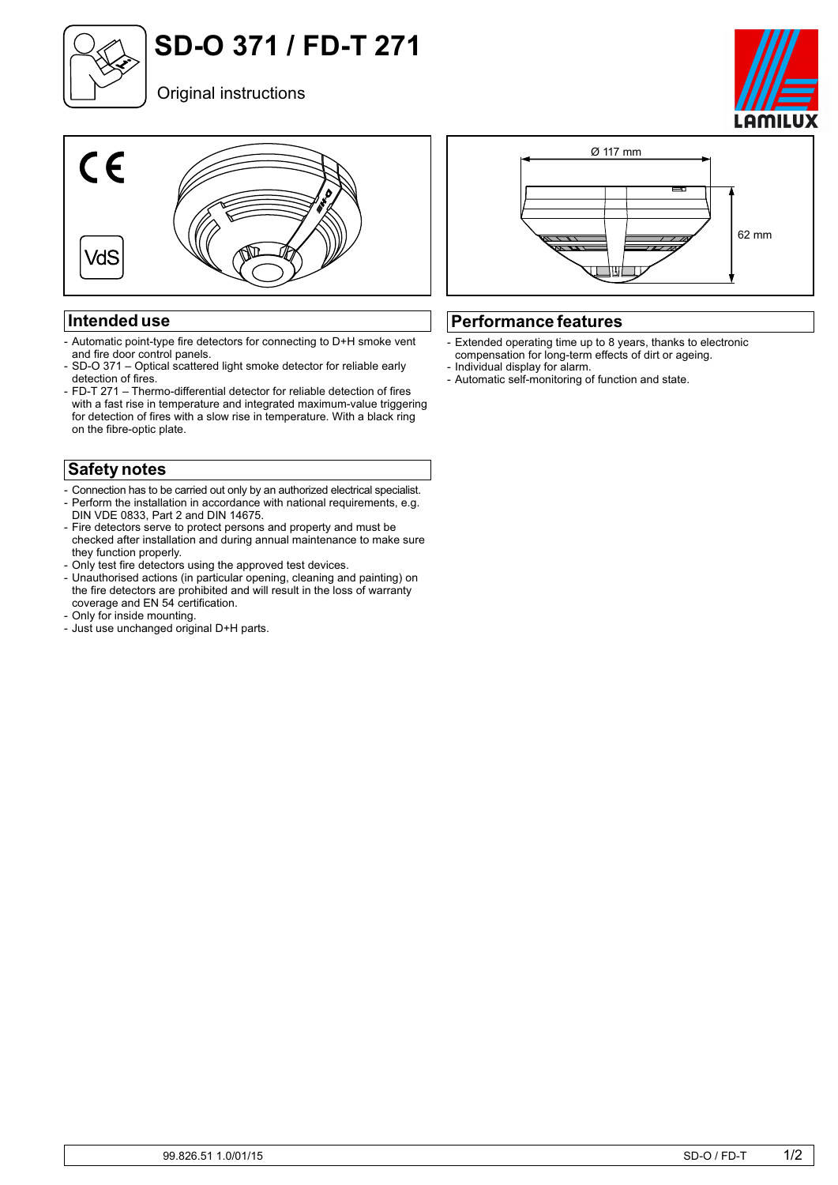

# **SD-O 371 / FD-T 271**



#### **Intended use**

- Automatic point-type fire detectors for connecting to D+H smoke vent and fire door control panels.
- SD-O 371 Optical scattered light smoke detector for reliable early detection of fires.
- FD-T 271 Thermo-differential detector for reliable detection of fires with a fast rise in temperature and integrated maximum-value triggering for detection of fires with a slow rise in temperature. With a black ring on the fibre-optic plate.

### **Safety notes**

- Connection has to be carried out only by an authorized electrical specialist.<br>- Perform the installation in accordance with national requirements e g - Perform the installation in accordance with national requirements, e.g. DIN VDE 0833, Part 2 and DIN 14675.
- Fire detectors serve to protect persons and property and must be checked after installation and during annual maintenance to make sure they function properly.
- Only test fire detectors using the approved test devices.
- Unauthorised actions (in particular opening, cleaning and painting) on the fire detectors are prohibited and will result in the loss of warranty coverage and EN 54 certification.
- Only for inside mounting.
- Just use unchanged original D+H parts.



#### **Performance features**

- Extended operating time up to 8 years, thanks to electronic compensation for long-term effects of dirt or ageing.
- Individual display for alarm.
- Automatic self-monitoring of function and state.